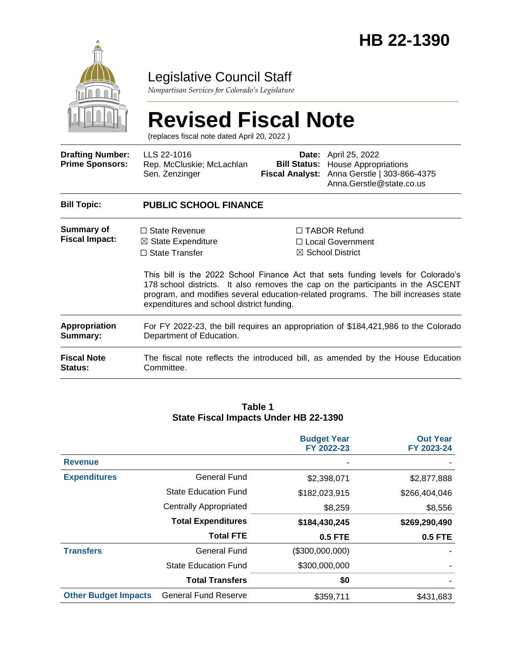

### Legislative Council Staff

*Nonpartisan Services for Colorado's Legislature*

# **Revised Fiscal Note**

(replaces fiscal note dated April 20, 2022 )

| <b>Drafting Number:</b><br><b>Prime Sponsors:</b> | LLS 22-1016<br>Rep. McCluskie; McLachlan<br>Sen. Zenzinger                                                      | <b>Fiscal Analyst:</b>                                                                                                                                                                                                                                                                                                                                                             | <b>Date:</b> April 25, 2022<br><b>Bill Status:</b> House Appropriations<br>Anna Gerstle   303-866-4375<br>Anna.Gerstle@state.co.us |  |  |  |
|---------------------------------------------------|-----------------------------------------------------------------------------------------------------------------|------------------------------------------------------------------------------------------------------------------------------------------------------------------------------------------------------------------------------------------------------------------------------------------------------------------------------------------------------------------------------------|------------------------------------------------------------------------------------------------------------------------------------|--|--|--|
| <b>Bill Topic:</b>                                | <b>PUBLIC SCHOOL FINANCE</b>                                                                                    |                                                                                                                                                                                                                                                                                                                                                                                    |                                                                                                                                    |  |  |  |
| Summary of<br><b>Fiscal Impact:</b>               | $\Box$ State Revenue<br>$\boxtimes$ State Expenditure<br>$\Box$ State Transfer                                  | $\Box$ TABOR Refund<br>□ Local Government<br>$\boxtimes$ School District<br>This bill is the 2022 School Finance Act that sets funding levels for Colorado's<br>178 school districts. It also removes the cap on the participants in the ASCENT<br>program, and modifies several education-related programs. The bill increases state<br>expenditures and school district funding. |                                                                                                                                    |  |  |  |
| <b>Appropriation</b><br>Summary:                  | For FY 2022-23, the bill requires an appropriation of \$184,421,986 to the Colorado<br>Department of Education. |                                                                                                                                                                                                                                                                                                                                                                                    |                                                                                                                                    |  |  |  |
| <b>Fiscal Note</b><br><b>Status:</b>              | Committee.                                                                                                      |                                                                                                                                                                                                                                                                                                                                                                                    | The fiscal note reflects the introduced bill, as amended by the House Education                                                    |  |  |  |

#### **Table 1 State Fiscal Impacts Under HB 22-1390**

|                             |                             | <b>Budget Year</b><br>FY 2022-23 | <b>Out Year</b><br>FY 2023-24 |
|-----------------------------|-----------------------------|----------------------------------|-------------------------------|
| <b>Revenue</b>              |                             |                                  |                               |
| <b>Expenditures</b>         | <b>General Fund</b>         | \$2,398,071                      | \$2,877,888                   |
|                             | <b>State Education Fund</b> | \$182,023,915                    | \$266,404,046                 |
|                             | Centrally Appropriated      | \$8,259                          | \$8,556                       |
|                             | <b>Total Expenditures</b>   | \$184,430,245                    | \$269,290,490                 |
|                             | <b>Total FTE</b>            | 0.5 FTE                          | <b>0.5 FTE</b>                |
| <b>Transfers</b>            | <b>General Fund</b>         | (\$300,000,000)                  |                               |
|                             | <b>State Education Fund</b> | \$300,000,000                    |                               |
|                             | <b>Total Transfers</b>      | \$0                              |                               |
| <b>Other Budget Impacts</b> | <b>General Fund Reserve</b> | \$359,711                        | \$431,683                     |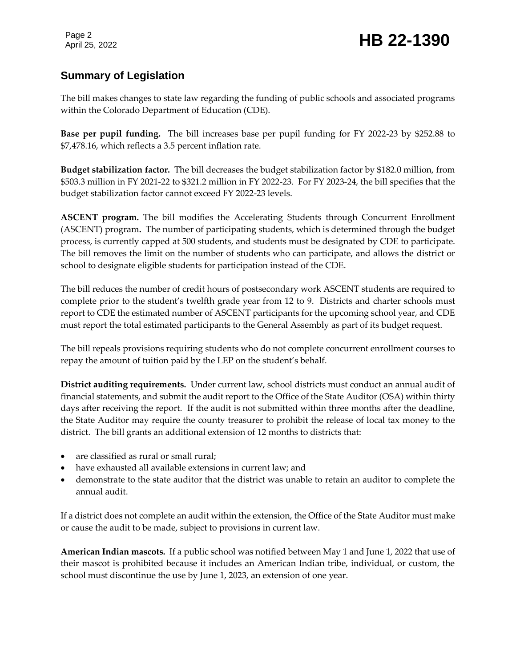Page 2

#### **Summary of Legislation**

The bill makes changes to state law regarding the funding of public schools and associated programs within the Colorado Department of Education (CDE).

**Base per pupil funding.** The bill increases base per pupil funding for FY 2022-23 by \$252.88 to \$7,478.16, which reflects a 3.5 percent inflation rate.

**Budget stabilization factor.** The bill decreases the budget stabilization factor by \$182.0 million, from \$503.3 million in FY 2021-22 to \$321.2 million in FY 2022-23. For FY 2023-24, the bill specifies that the budget stabilization factor cannot exceed FY 2022-23 levels.

**ASCENT program.** The bill modifies the Accelerating Students through Concurrent Enrollment (ASCENT) program**.** The number of participating students, which is determined through the budget process, is currently capped at 500 students, and students must be designated by CDE to participate. The bill removes the limit on the number of students who can participate, and allows the district or school to designate eligible students for participation instead of the CDE.

The bill reduces the number of credit hours of postsecondary work ASCENT students are required to complete prior to the student's twelfth grade year from 12 to 9. Districts and charter schools must report to CDE the estimated number of ASCENT participants for the upcoming school year, and CDE must report the total estimated participants to the General Assembly as part of its budget request.

The bill repeals provisions requiring students who do not complete concurrent enrollment courses to repay the amount of tuition paid by the LEP on the student's behalf.

**District auditing requirements.** Under current law, school districts must conduct an annual audit of financial statements, and submit the audit report to the Office of the State Auditor (OSA) within thirty days after receiving the report. If the audit is not submitted within three months after the deadline, the State Auditor may require the county treasurer to prohibit the release of local tax money to the district. The bill grants an additional extension of 12 months to districts that:

- are classified as rural or small rural;
- have exhausted all available extensions in current law; and
- demonstrate to the state auditor that the district was unable to retain an auditor to complete the annual audit.

If a district does not complete an audit within the extension, the Office of the State Auditor must make or cause the audit to be made, subject to provisions in current law.

**American Indian mascots.** If a public school was notified between May 1 and June 1, 2022 that use of their mascot is prohibited because it includes an American Indian tribe, individual, or custom, the school must discontinue the use by June 1, 2023, an extension of one year.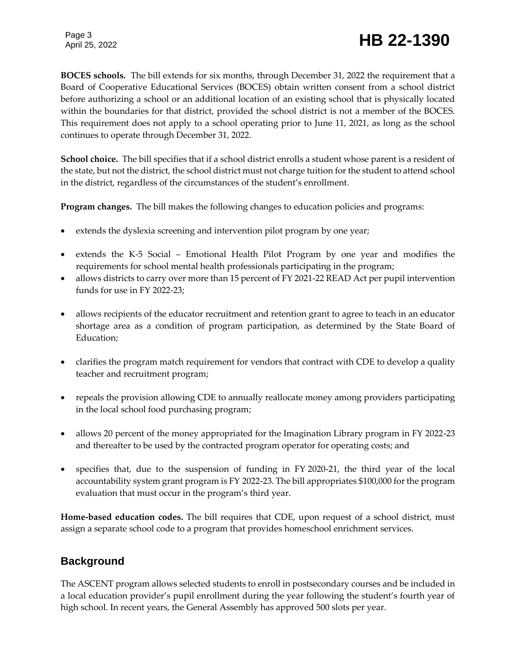## Page 3

## Page 3<br>April 25, 2022 **HB 22-1390**

**BOCES schools.** The bill extends for six months, through December 31, 2022 the requirement that a Board of Cooperative Educational Services (BOCES) obtain written consent from a school district before authorizing a school or an additional location of an existing school that is physically located within the boundaries for that district, provided the school district is not a member of the BOCES. This requirement does not apply to a school operating prior to June 11, 2021, as long as the school continues to operate through December 31, 2022.

**School choice.** The bill specifies that if a school district enrolls a student whose parent is a resident of the state, but not the district, the school district must not charge tuition for the student to attend school in the district, regardless of the circumstances of the student's enrollment.

**Program changes.** The bill makes the following changes to education policies and programs:

- extends the dyslexia screening and intervention pilot program by one year;
- extends the K-5 Social Emotional Health Pilot Program by one year and modifies the requirements for school mental health professionals participating in the program;
- allows districts to carry over more than 15 percent of FY 2021-22 READ Act per pupil intervention funds for use in FY 2022-23;
- allows recipients of the educator recruitment and retention grant to agree to teach in an educator shortage area as a condition of program participation, as determined by the State Board of Education;
- clarifies the program match requirement for vendors that contract with CDE to develop a quality teacher and recruitment program;
- repeals the provision allowing CDE to annually reallocate money among providers participating in the local school food purchasing program;
- allows 20 percent of the money appropriated for the Imagination Library program in FY 2022-23 and thereafter to be used by the contracted program operator for operating costs; and
- specifies that, due to the suspension of funding in FY 2020-21, the third year of the local accountability system grant program is FY 2022-23. The bill appropriates \$100,000 for the program evaluation that must occur in the program's third year.

**Home-based education codes.** The bill requires that CDE, upon request of a school district, must assign a separate school code to a program that provides homeschool enrichment services.

#### **Background**

The ASCENT program allows selected students to enroll in postsecondary courses and be included in a local education provider's pupil enrollment during the year following the student's fourth year of high school. In recent years, the General Assembly has approved 500 slots per year.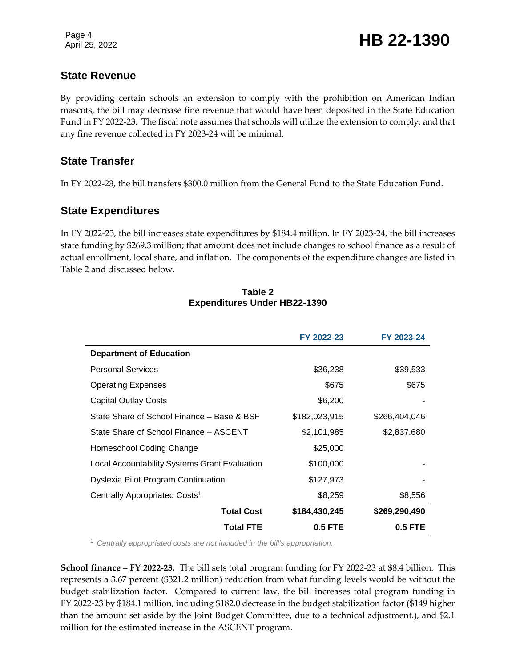#### **State Revenue**

By providing certain schools an extension to comply with the prohibition on American Indian mascots, the bill may decrease fine revenue that would have been deposited in the State Education Fund in FY 2022-23. The fiscal note assumes that schools will utilize the extension to comply, and that any fine revenue collected in FY 2023-24 will be minimal.

#### **State Transfer**

In FY 2022-23, the bill transfers \$300.0 million from the General Fund to the State Education Fund.

#### **State Expenditures**

In FY 2022-23, the bill increases state expenditures by \$184.4 million. In FY 2023-24, the bill increases state funding by \$269.3 million; that amount does not include changes to school finance as a result of actual enrollment, local share, and inflation. The components of the expenditure changes are listed in Table 2 and discussed below.

|                                               | FY 2022-23    | FY 2023-24    |
|-----------------------------------------------|---------------|---------------|
| <b>Department of Education</b>                |               |               |
| <b>Personal Services</b>                      | \$36,238      | \$39,533      |
| <b>Operating Expenses</b>                     | \$675         | \$675         |
| Capital Outlay Costs                          | \$6,200       |               |
| State Share of School Finance – Base & BSF    | \$182,023,915 | \$266,404,046 |
| State Share of School Finance - ASCENT        | \$2,101,985   | \$2,837,680   |
| Homeschool Coding Change                      | \$25,000      |               |
| Local Accountability Systems Grant Evaluation | \$100,000     |               |
| Dyslexia Pilot Program Continuation           | \$127,973     |               |
| Centrally Appropriated Costs <sup>1</sup>     | \$8,259       | \$8,556       |
| <b>Total Cost</b>                             | \$184,430,245 | \$269,290,490 |
| <b>Total FTE</b>                              | 0.5 FTE       | 0.5 FTE       |

#### **Table 2 Expenditures Under HB22-1390**

<sup>1</sup> *Centrally appropriated costs are not included in the bill's appropriation.*

**School finance – FY 2022-23.** The bill sets total program funding for FY 2022-23 at \$8.4 billion. This represents a 3.67 percent (\$321.2 million) reduction from what funding levels would be without the budget stabilization factor. Compared to current law, the bill increases total program funding in FY 2022-23 by \$184.1 million, including \$182.0 decrease in the budget stabilization factor (\$149 higher than the amount set aside by the Joint Budget Committee, due to a technical adjustment.), and \$2.1 million for the estimated increase in the ASCENT program.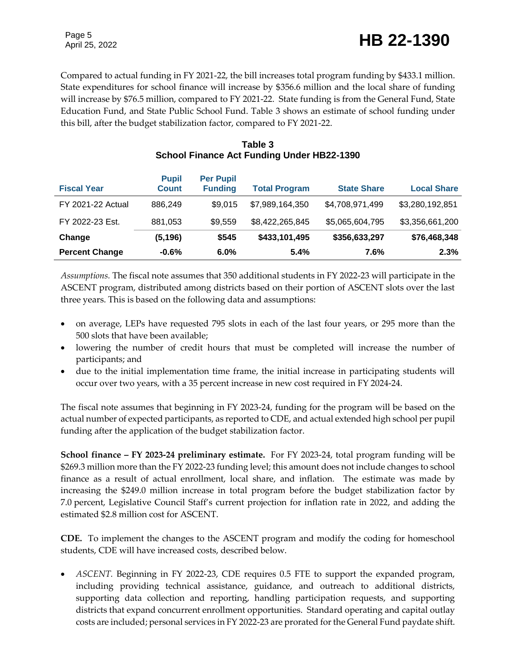Compared to actual funding in FY 2021-22, the bill increases total program funding by \$433.1 million. State expenditures for school finance will increase by \$356.6 million and the local share of funding will increase by \$76.5 million, compared to FY 2021-22. State funding is from the General Fund, State Education Fund, and State Public School Fund. Table 3 shows an estimate of school funding under this bill, after the budget stabilization factor, compared to FY 2021-22.

| <b>Fiscal Year</b>       | <b>Pupil</b><br><b>Count</b> | <b>Per Pupil</b><br><b>Funding</b> | <b>Total Program</b> | <b>State Share</b> | <b>Local Share</b> |
|--------------------------|------------------------------|------------------------------------|----------------------|--------------------|--------------------|
| <b>FY 2021-22 Actual</b> | 886,249                      | \$9,015                            | \$7,989,164,350      | \$4,708,971,499    | \$3,280,192,851    |
| FY 2022-23 Est.          | 881,053                      | \$9,559                            | \$8,422,265,845      | \$5,065,604,795    | \$3,356,661,200    |
| Change                   | (5, 196)                     | \$545                              | \$433,101,495        | \$356,633,297      | \$76,468,348       |
| <b>Percent Change</b>    | $-0.6%$                      | 6.0%                               | 5.4%                 | 7.6%               | 2.3%               |

#### **Table 3 School Finance Act Funding Under HB22-1390**

*Assumptions.* The fiscal note assumes that 350 additional students in FY 2022-23 will participate in the ASCENT program, distributed among districts based on their portion of ASCENT slots over the last three years. This is based on the following data and assumptions:

- on average, LEPs have requested 795 slots in each of the last four years, or 295 more than the 500 slots that have been available;
- lowering the number of credit hours that must be completed will increase the number of participants; and
- due to the initial implementation time frame, the initial increase in participating students will occur over two years, with a 35 percent increase in new cost required in FY 2024-24.

The fiscal note assumes that beginning in FY 2023-24, funding for the program will be based on the actual number of expected participants, as reported to CDE, and actual extended high school per pupil funding after the application of the budget stabilization factor.

**School finance – FY 2023-24 preliminary estimate.** For FY 2023-24, total program funding will be \$269.3 million more than the FY 2022-23 funding level; this amount does not include changes to school finance as a result of actual enrollment, local share, and inflation. The estimate was made by increasing the \$249.0 million increase in total program before the budget stabilization factor by 7.0 percent, Legislative Council Staff's current projection for inflation rate in 2022, and adding the estimated \$2.8 million cost for ASCENT.

**CDE.** To implement the changes to the ASCENT program and modify the coding for homeschool students, CDE will have increased costs, described below.

 *ASCENT.* Beginning in FY 2022-23, CDE requires 0.5 FTE to support the expanded program, including providing technical assistance, guidance, and outreach to additional districts, supporting data collection and reporting, handling participation requests, and supporting districts that expand concurrent enrollment opportunities. Standard operating and capital outlay costs are included; personal services in FY 2022-23 are prorated for the General Fund paydate shift.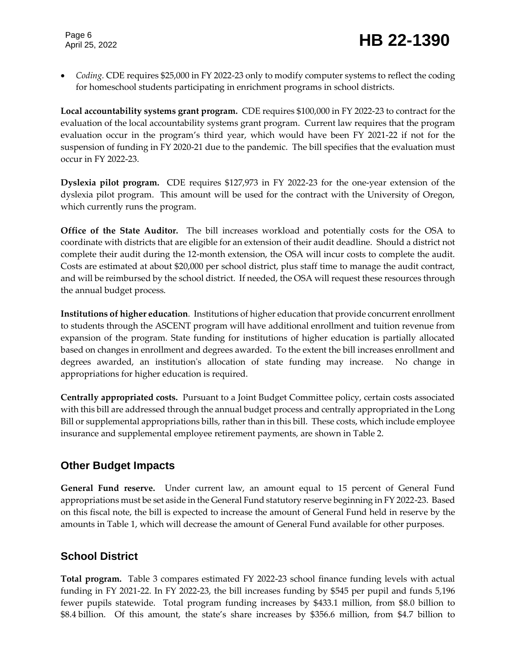*Coding.* CDE requires \$25,000 in FY 2022-23 only to modify computer systems to reflect the coding for homeschool students participating in enrichment programs in school districts.

**Local accountability systems grant program.** CDE requires \$100,000 in FY 2022-23 to contract for the evaluation of the local accountability systems grant program. Current law requires that the program evaluation occur in the program's third year, which would have been FY 2021-22 if not for the suspension of funding in FY 2020-21 due to the pandemic. The bill specifies that the evaluation must occur in FY 2022-23.

**Dyslexia pilot program.** CDE requires \$127,973 in FY 2022-23 for the one-year extension of the dyslexia pilot program. This amount will be used for the contract with the University of Oregon, which currently runs the program.

**Office of the State Auditor.** The bill increases workload and potentially costs for the OSA to coordinate with districts that are eligible for an extension of their audit deadline. Should a district not complete their audit during the 12-month extension, the OSA will incur costs to complete the audit. Costs are estimated at about \$20,000 per school district, plus staff time to manage the audit contract, and will be reimbursed by the school district. If needed, the OSA will request these resources through the annual budget process.

**Institutions of higher education***.*Institutions of higher education that provide concurrent enrollment to students through the ASCENT program will have additional enrollment and tuition revenue from expansion of the program. State funding for institutions of higher education is partially allocated based on changes in enrollment and degrees awarded. To the extent the bill increases enrollment and degrees awarded, an institution's allocation of state funding may increase. No change in appropriations for higher education is required.

**Centrally appropriated costs.** Pursuant to a Joint Budget Committee policy, certain costs associated with this bill are addressed through the annual budget process and centrally appropriated in the Long Bill or supplemental appropriations bills, rather than in this bill. These costs, which include employee insurance and supplemental employee retirement payments, are shown in Table 2.

#### **Other Budget Impacts**

**General Fund reserve.** Under current law, an amount equal to 15 percent of General Fund appropriations must be set aside in the General Fund statutory reserve beginning in FY 2022-23. Based on this fiscal note, the bill is expected to increase the amount of General Fund held in reserve by the amounts in Table 1, which will decrease the amount of General Fund available for other purposes.

#### **School District**

**Total program.** Table 3 compares estimated FY 2022-23 school finance funding levels with actual funding in FY 2021-22. In FY 2022-23, the bill increases funding by \$545 per pupil and funds 5,196 fewer pupils statewide. Total program funding increases by \$433.1 million, from \$8.0 billion to \$8.4 billion. Of this amount, the state's share increases by \$356.6 million, from \$4.7 billion to